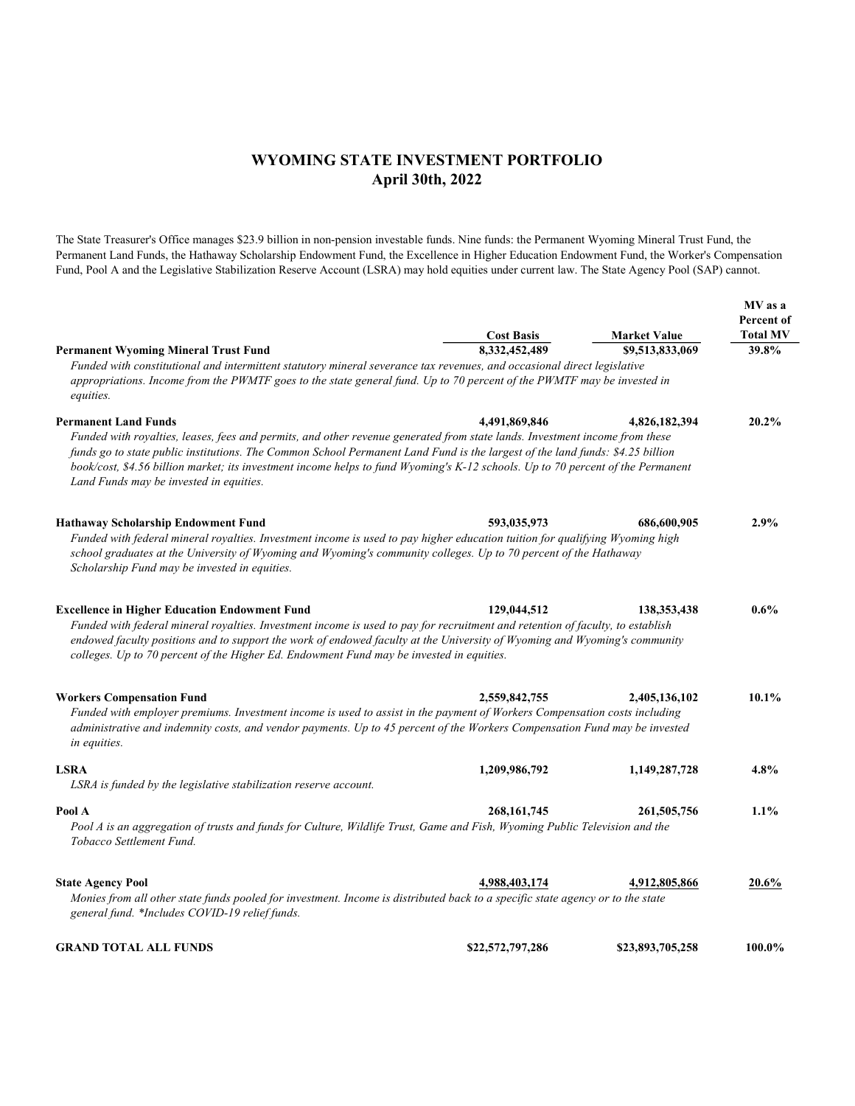## WYOMING STATE INVESTMENT PORTFOLIO April 30th, 2022

The State Treasurer's Office manages \$23.9 billion in non-pension investable funds. Nine funds: the Permanent Wyoming Mineral Trust Fund, the Permanent Land Funds, the Hathaway Scholarship Endowment Fund, the Excellence in Higher Education Endowment Fund, the Worker's Compensation Fund, Pool A and the Legislative Stabilization Reserve Account (LSRA) may hold equities under current law. The State Agency Pool (SAP) cannot.

|                                                                                                                                                                                                                                                                                                                                                                                                                                                                           | <b>Cost Basis</b> | <b>Market Value</b> | MV as a<br>Percent of<br><b>Total MV</b> |  |
|---------------------------------------------------------------------------------------------------------------------------------------------------------------------------------------------------------------------------------------------------------------------------------------------------------------------------------------------------------------------------------------------------------------------------------------------------------------------------|-------------------|---------------------|------------------------------------------|--|
| <b>Permanent Wyoming Mineral Trust Fund</b>                                                                                                                                                                                                                                                                                                                                                                                                                               | 8.332.452.489     | \$9,513,833,069     | 39.8%                                    |  |
| Funded with constitutional and intermittent statutory mineral severance tax revenues, and occasional direct legislative<br>appropriations. Income from the PWMTF goes to the state general fund. Up to 70 percent of the PWMTF may be invested in<br>equities.                                                                                                                                                                                                            |                   |                     |                                          |  |
| <b>Permanent Land Funds</b><br>Funded with royalties, leases, fees and permits, and other revenue generated from state lands. Investment income from these<br>funds go to state public institutions. The Common School Permanent Land Fund is the largest of the land funds: \$4.25 billion<br>book/cost, \$4.56 billion market; its investment income helps to fund Wyoming's K-12 schools. Up to 70 percent of the Permanent<br>Land Funds may be invested in equities. | 4.491.869.846     | 4,826,182,394       | 20.2%                                    |  |
| <b>Hathaway Scholarship Endowment Fund</b><br>Funded with federal mineral royalties. Investment income is used to pay higher education tuition for qualifying Wyoming high<br>school graduates at the University of Wyoming and Wyoming's community colleges. Up to 70 percent of the Hathaway<br>Scholarship Fund may be invested in equities.                                                                                                                           | 593,035,973       | 686,600,905         | 2.9%                                     |  |
| <b>Excellence in Higher Education Endowment Fund</b><br>Funded with federal mineral royalties. Investment income is used to pay for recruitment and retention of faculty, to establish<br>endowed faculty positions and to support the work of endowed faculty at the University of Wyoming and Wyoming's community<br>colleges. Up to 70 percent of the Higher Ed. Endowment Fund may be invested in equities.                                                           | 129,044,512       | 138, 353, 438       | $0.6\%$                                  |  |
| <b>Workers Compensation Fund</b><br>Funded with employer premiums. Investment income is used to assist in the payment of Workers Compensation costs including<br>administrative and indemnity costs, and vendor payments. Up to 45 percent of the Workers Compensation Fund may be invested<br>in equities.                                                                                                                                                               | 2,559,842,755     | 2,405,136,102       | 10.1%                                    |  |
| <b>LSRA</b><br>LSRA is funded by the legislative stabilization reserve account.                                                                                                                                                                                                                                                                                                                                                                                           | 1,209,986,792     | 1,149,287,728       | 4.8%                                     |  |
| Pool A<br>Pool A is an aggregation of trusts and funds for Culture, Wildlife Trust, Game and Fish, Wyoming Public Television and the<br>Tobacco Settlement Fund.                                                                                                                                                                                                                                                                                                          | 268, 161, 745     | 261,505,756         | 1.1%                                     |  |
| <b>State Agency Pool</b><br>Monies from all other state funds pooled for investment. Income is distributed back to a specific state agency or to the state<br>general fund. *Includes COVID-19 relief funds.                                                                                                                                                                                                                                                              | 4,988,403,174     | 4,912,805,866       | 20.6%                                    |  |
| <b>GRAND TOTAL ALL FUNDS</b>                                                                                                                                                                                                                                                                                                                                                                                                                                              | \$22,572,797,286  | \$23,893,705,258    | 100.0%                                   |  |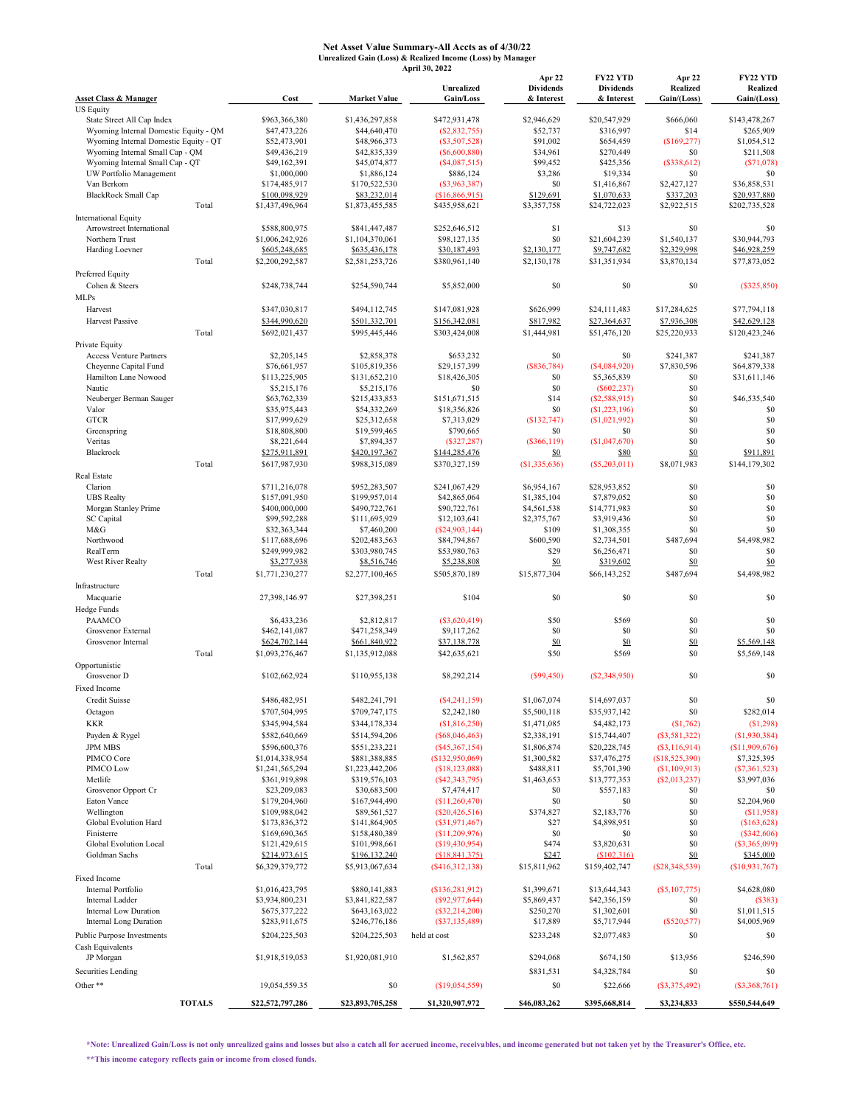## Net Asset Value Summary-All Accts as of 4/30/22 Unrealized Gain (Loss) & Realized Income (Loss) by Manager April 30, 2022

|                                                            |               |                                  |                                  | Unrealized                         | Apr 22<br><b>Dividends</b>    | <b>FY22 YTD</b><br><b>Dividends</b> | Apr 22<br><b>Realized</b>      | FY22 YTD<br>Realized           |
|------------------------------------------------------------|---------------|----------------------------------|----------------------------------|------------------------------------|-------------------------------|-------------------------------------|--------------------------------|--------------------------------|
| <b>Asset Class &amp; Manager</b><br><b>US Equity</b>       |               | Cost                             | <b>Market Value</b>              | Gain/Loss                          | & Interest                    | & Interest                          | Gain/(Loss)                    | Gain/(Loss)                    |
| State Street All Cap Index                                 |               | \$963,366,380                    | \$1,436,297,858                  | \$472,931,478                      | \$2,946,629                   | \$20,547,929                        | \$666,060                      | \$143,478,267                  |
| Wyoming Internal Domestic Equity - QM                      |               | \$47,473,226                     | \$44,640,470                     | (S2, 832, 755)                     | \$52,737                      | \$316,997                           | \$14                           | \$265,909                      |
| Wyoming Internal Domestic Equity - QT                      |               | \$52,473,901                     | \$48,966,373                     | $(\$3,507,528)$                    | \$91,002                      | \$654,459                           | (\$169,277)                    | \$1,054,512                    |
| Wyoming Internal Small Cap - QM                            |               | \$49,436,219                     | \$42,835,339                     | $($ \$6,600,880)                   | \$34,961                      | \$270,449                           | \$0                            | \$211,508                      |
| Wyoming Internal Small Cap - QT<br>UW Portfolio Management |               | \$49,162,391<br>\$1,000,000      | \$45,074,877<br>\$1,886,124      | (S4,087,515)<br>\$886,124          | \$99,452<br>\$3,286           | \$425,356<br>\$19,334               | (\$338,612)<br>\$0             | (S71,078)<br>\$0               |
| Van Berkom                                                 |               | \$174,485,917                    | \$170,522,530                    | $($ \$3,963,387 $)$                | \$0                           | \$1,416,867                         | \$2,427,127                    | \$36,858,531                   |
| <b>BlackRock Small Cap</b>                                 |               | \$100,098,929                    | \$83,232,014                     | (\$16,866,915)                     | \$129,691                     | \$1,070,633                         | \$337,203                      | \$20,937,880                   |
|                                                            | Total         | \$1,437,496,964                  | \$1,873,455,585                  | \$435,958,621                      | \$3,357,758                   | \$24,722,023                        | \$2,922,515                    | \$202,735,528                  |
| <b>International Equity</b>                                |               |                                  |                                  |                                    |                               |                                     |                                |                                |
| Arrowstreet International<br>Northern Trust                |               | \$588,800,975<br>\$1,006,242,926 | \$841,447,487<br>\$1,104,370,061 | \$252,646,512<br>\$98,127,135      | \$1<br>\$0                    | \$13<br>\$21,604,239                | \$0<br>\$1,540,137             | \$0<br>\$30,944,793            |
| Harding Loevner                                            |               | \$605,248,685                    | \$635,436,178                    | \$30,187,493                       | \$2,130,177                   | \$9,747,682                         | \$2,329,998                    | \$46,928,259                   |
|                                                            | Total         | \$2,200,292,587                  | \$2,581,253,726                  | \$380,961,140                      | \$2,130,178                   | \$31,351,934                        | \$3,870,134                    | \$77,873,052                   |
| Preferred Equity                                           |               |                                  |                                  |                                    |                               |                                     |                                |                                |
| Cohen & Steers                                             |               | \$248,738,744                    | \$254,590,744                    | \$5,852,000                        | \$0                           | \$0                                 | \$0                            | (S325, 850)                    |
| <b>MLPs</b>                                                |               |                                  |                                  |                                    |                               |                                     |                                |                                |
| Harvest                                                    |               | \$347,030,817                    | \$494,112,745                    | \$147,081,928                      | \$626,999                     | \$24,111,483                        | \$17,284,625                   | \$77,794,118                   |
| Harvest Passive                                            |               | \$344,990,620                    | \$501,332,701                    | \$156,342,081                      | \$817,982                     | \$27,364,637                        | \$7,936,308                    | \$42,629,128                   |
|                                                            | Total         | \$692,021,437                    | \$995,445,446                    | \$303,424,008                      | \$1,444,981                   | \$51,476,120                        | \$25,220,933                   | \$120,423,246                  |
| Private Equity                                             |               |                                  |                                  |                                    |                               |                                     |                                |                                |
| <b>Access Venture Partners</b>                             |               | \$2,205,145<br>\$76,661,957      | \$2,858,378                      | \$653,232<br>\$29,157,399          | \$0                           | \$0                                 | \$241,387                      | \$241,387                      |
| Cheyenne Capital Fund<br>Hamilton Lane Nowood              |               | \$113,225,905                    | \$105,819,356<br>\$131,652,210   | \$18,426,305                       | (\$836,784)<br>\$0            | $($ \$4,084,920)<br>\$5,365,839     | \$7,830,596<br>\$0             | \$64,879,338<br>\$31,611,146   |
| Nautic                                                     |               | \$5,215,176                      | \$5,215,176                      | \$0                                | \$0                           | (S602, 237)                         | \$0                            |                                |
| Neuberger Berman Sauger                                    |               | \$63,762,339                     | \$215,433,853                    | \$151,671,515                      | \$14                          | (S2, 588, 915)                      | \$0                            | \$46,535,540                   |
| Valor                                                      |               | \$35,975,443                     | \$54,332,269                     | \$18,356,826                       | \$0                           | (\$1,223,196)                       | \$0                            | S <sub>0</sub>                 |
| <b>GTCR</b>                                                |               | \$17,999,629                     | \$25,312,658                     | \$7,313,029                        | (\$132,747)                   | (S1,021,992)                        | \$0                            | \$0                            |
| Greenspring                                                |               | \$18,808,800                     | \$19,599,465                     | \$790,665                          | \$0                           | \$0                                 | \$0                            | \$0                            |
| Veritas                                                    |               | \$8,221,644                      | \$7,894,357                      | (S327, 287)                        | (\$366,119)                   | (\$1,047,670)                       | \$0                            | \$0                            |
| Blackrock                                                  |               | \$275,911,891                    | \$420,197,367                    | \$144,285,476<br>\$370,327,159     | <u>\$0</u>                    | \$80                                | \$0                            | \$911,891                      |
| Real Estate                                                | Total         | \$617,987,930                    | \$988,315,089                    |                                    | (S1, 335, 636)                | (S5, 203, 011)                      | \$8,071,983                    | \$144,179,302                  |
| Clarion                                                    |               | \$711,216,078                    | \$952,283,507                    | \$241,067,429                      | \$6,954,167                   | \$28,953,852                        | \$0                            | \$0                            |
| <b>UBS</b> Realty                                          |               | \$157,091,950                    | \$199,957,014                    | \$42,865,064                       | \$1,385,104                   | \$7,879,052                         | \$0                            | \$0                            |
| Morgan Stanley Prime                                       |               | \$400,000,000                    | \$490,722,761                    | \$90,722,761                       | \$4,561,538                   | \$14,771,983                        | \$0                            | \$0                            |
| SC Capital                                                 |               | \$99,592,288                     | \$111,695,929                    | \$12,103,641                       | \$2,375,767                   | \$3,919,436                         | \$0                            | \$0                            |
| M&G                                                        |               | \$32,363,344                     | \$7,460,200                      | (S24, 903, 144)                    | \$109                         | \$1,308,355                         | \$0                            | \$0                            |
| Northwood                                                  |               | \$117,688,696                    | \$202,483,563                    | \$84,794,867                       | \$600,590                     | \$2,734,501                         | \$487,694                      | \$4,498,982                    |
| RealTerm                                                   |               | \$249,999,982                    | \$303,980,745                    | \$53,980,763                       | \$29                          | \$6,256,471                         | \$0<br>\$0                     | \$0                            |
| West River Realty                                          | Total         | \$3,277,938<br>\$1,771,230,277   | \$8,516,746<br>\$2,277,100,465   | \$5,238,808<br>\$505,870,189       | $\frac{$0}{}$<br>\$15,877,304 | \$319,602<br>\$66,143,252           | \$487,694                      | \$0<br>\$4,498,982             |
| Infrastructure                                             |               |                                  |                                  |                                    |                               |                                     |                                |                                |
| Macquarie                                                  |               | 27,398,146.97                    | \$27,398,251                     | \$104                              | \$0                           | \$0                                 | \$0                            | \$0                            |
| Hedge Funds                                                |               |                                  |                                  |                                    |                               |                                     |                                |                                |
| <b>PAAMCO</b>                                              |               | \$6,433,236                      | \$2,812,817                      | $(\$3,620,419)$                    | \$50                          | \$569                               | \$0                            | \$0                            |
| Grosvenor External                                         |               | \$462,141,087                    | \$471,258,349                    | \$9,117,262                        | \$0                           | \$0                                 | \$0                            | \$0                            |
| Grosvenor Internal                                         |               | \$624,702,144                    | \$661,840,922                    | \$37,138,778                       | \$0                           | \$0                                 | \$0                            | \$5,569,148                    |
|                                                            | Total         | \$1,093,276,467                  | \$1,135,912,088                  | \$42,635,621                       | \$50                          | \$569                               | \$0                            | \$5,569,148                    |
| Opportunistic                                              |               |                                  |                                  |                                    |                               |                                     |                                |                                |
| Grosvenor D                                                |               | \$102,662,924                    | \$110,955,138                    | \$8,292,214                        | $($ \$99,450)                 | (S2,348,950)                        | \$0                            | \$0                            |
| Fixed Income                                               |               |                                  |                                  |                                    |                               |                                     |                                |                                |
| Credit Suisse                                              |               | \$486,482,951                    | \$482,241,791                    | $(\$4,241,159)$                    | \$1,067,074                   | \$14,697,037                        | \$0                            | \$0                            |
| Octagon                                                    |               | \$707,504,995                    | \$709,747,175                    | \$2,242,180                        | \$5,500,118                   | \$35,937,142                        | \$0                            | \$282,014                      |
| <b>KKR</b><br>Payden & Rygel                               |               | \$345,994,584<br>\$582,640,669   | \$344,178,334<br>\$514,594,206   | (\$1,816,250)<br>$($ \$68,046,463) | \$1,471,085<br>\$2,338,191    | \$4,482,173<br>\$15,744,407         | \$1,762                        | (\$1,298)<br>(\$1,930,384)     |
| <b>JPM MBS</b>                                             |               | \$596,600,376                    | \$551,233,221                    | (\$45,367,154)                     | \$1,806,874                   | \$20,228,745                        | (\$3,581,322)<br>(\$3,116,914) | (\$11,909,676)                 |
| PIMCO Core                                                 |               | \$1,014,338,954                  | \$881,388,885                    | (\$132,950,069)                    | \$1,300,582                   | \$37,476,275                        | (\$18,525,390)                 | \$7,325,395                    |
| PIMCO Low                                                  |               | \$1,241,565,294                  | \$1,223,442,206                  | (\$18,123,088)                     | \$488,811                     | \$5,701,390                         | (S1, 109, 913)                 | $(\$7,361,523)$                |
| Metlife                                                    |               | \$361,919,898                    | \$319,576,103                    | $($ \$42,343,795)                  | \$1,463,653                   | \$13,777,353                        | (\$2,013,237)                  | \$3,997,036                    |
| Grosvenor Opport Cr                                        |               | \$23,209,083                     | \$30,683,500                     | \$7,474,417                        | \$0                           | \$557,183                           | \$0                            | \$0                            |
| Eaton Vance                                                |               | \$179,204,960                    | \$167,944,490                    | (\$11,260,470)                     | \$0                           | \$0                                 | \$0                            | \$2,204,960                    |
| Wellington                                                 |               | \$109,988,042                    | \$89,561,527                     | (\$20,426,516)                     | \$374,827                     | \$2,183,776                         | \$0                            | $($ \$11,958)                  |
| Global Evolution Hard<br>Finisterre                        |               | \$173,836,372<br>\$169,690,365   | \$141,864,905<br>\$158,480,389   | (\$31,971,467)                     | \$27<br>\$0                   | \$4,898,951                         | \$0<br>\$0                     | (\$163,628)                    |
| Global Evolution Local                                     |               | \$121,429,615                    | \$101,998,661                    | (\$11,209,976)<br>(\$19,430,954)   | \$474                         | \$0<br>\$3,820,631                  | \$0                            | (\$342,606)<br>$(\$3,365,099)$ |
| Goldman Sachs                                              |               | \$214,973,615                    | \$196,132,240                    | ( \$18, 841, 375)                  | \$247                         | \$102,316                           | \$0                            | \$345,000                      |
|                                                            | Total         | \$6,329,379,772                  | \$5,913,067,634                  | (\$416,312,138)                    | \$15,811,962                  | \$159,402,747                       | (\$28,348,539)                 | (\$10,931,767)                 |
| Fixed Income                                               |               |                                  |                                  |                                    |                               |                                     |                                |                                |
| Internal Portfolio                                         |               | \$1,016,423,795                  | \$880,141,883                    | (\$136, 281, 912)                  | \$1,399,671                   | \$13,644,343                        | (\$5,107,775)                  | \$4,628,080                    |
| Internal Ladder                                            |               | \$3,934,800,231                  | \$3,841,822,587                  | (\$92,977,644)                     | \$5,869,437                   | \$42,356,159                        | \$0                            | (S383)                         |
| Internal Low Duration                                      |               | \$675,377,222                    | \$643,163,022                    | $(\$32,214,200)$                   | \$250,270                     | \$1,302,601                         | \$0                            | \$1,011,515                    |
| <b>Internal Long Duration</b>                              |               | \$283,911,675                    | \$246,776,186                    | $(\$37,135,489)$                   | \$17,889                      | \$5,717,944                         | (\$520,577)                    | \$4,005,969                    |
| Public Purpose Investments                                 |               | \$204,225,503                    | \$204,225,503                    | held at cost                       | \$233,248                     | \$2,077,483                         | \$0                            | \$0                            |
| Cash Equivalents                                           |               |                                  |                                  |                                    |                               |                                     |                                |                                |
| JP Morgan                                                  |               | \$1,918,519,053                  | \$1,920,081,910                  | \$1,562,857                        | \$294,068                     | \$674,150                           | \$13,956                       | \$246,590                      |
| Securities Lending                                         |               |                                  |                                  |                                    | \$831,531                     | \$4,328,784                         | \$0                            | \$0                            |
| Other**                                                    |               | 19,054,559.35                    | \$0                              | (\$19,054,559)                     | \$0                           | \$22,666                            | $(\$3,375,492)$                | $(\$3,368,761)$                |
|                                                            | <b>TOTALS</b> | \$22,572,797,286                 | \$23,893,705,258                 | \$1,320,907,972                    | \$46,083,262                  | \$395,668,814                       | \$3,234,833                    | \$550,544,649                  |

\*Note: Unrealized Gain/Loss is not only unrealized gains and losses but also a catch all for accrued income, receivables, and income generated but not taken yet by the Treasurer's Office, etc.

\*\*This income category reflects gain or income from closed funds.